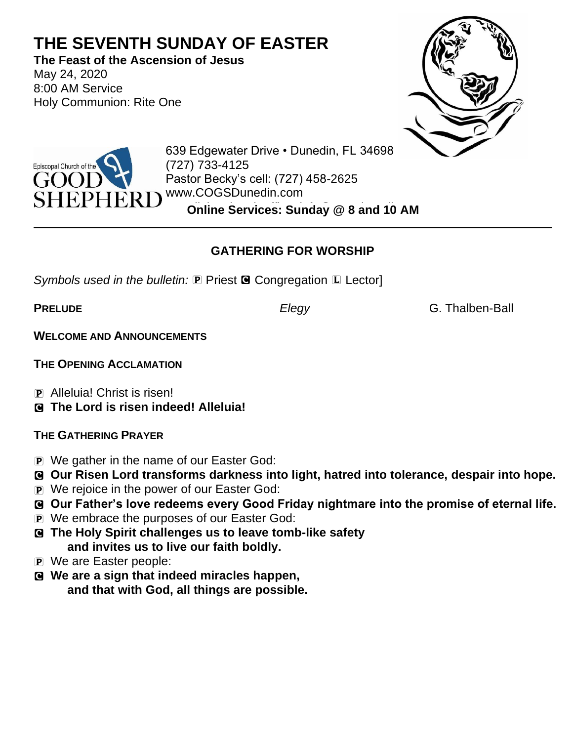# **THE SEVENTH SUNDAY OF EASTER**

**The Feast of the Ascension of Jesus**

May 24, 2020 8:00 AM Service Holy Communion: Rite One





**Online Services: Sunday @ 8 and 10 AM** 639 Edgewater Drive • Dunedin, FL 34698 (727) 733-4125 Pastor Becky's cell: (727) 458-2625 www.COGSDunedin.com

## **GATHERING FOR WORSHIP**

*Symbols used in the bulletin:* **P** Priest **G** Congregation **L** Lector]

**PRELUDE** *Elegy* G. Thalben-Ball

#### **WELCOME AND ANNOUNCEMENTS**

**THE OPENING ACCLAMATION** 

- P Alleluia! Christ is risen!
- C **The Lord is risen indeed! Alleluia!**

## **THE GATHERING PRAYER**

- P We gather in the name of our Easter God:
- C **Our Risen Lord transforms darkness into light, hatred into tolerance, despair into hope.**
- P We rejoice in the power of our Easter God:
- C **Our Father's love redeems every Good Friday nightmare into the promise of eternal life.**
- P We embrace the purposes of our Easter God:
- C **The Holy Spirit challenges us to leave tomb-like safety and invites us to live our faith boldly.**
- P We are Easter people:
- C **We are a sign that indeed miracles happen, and that with God, all things are possible.**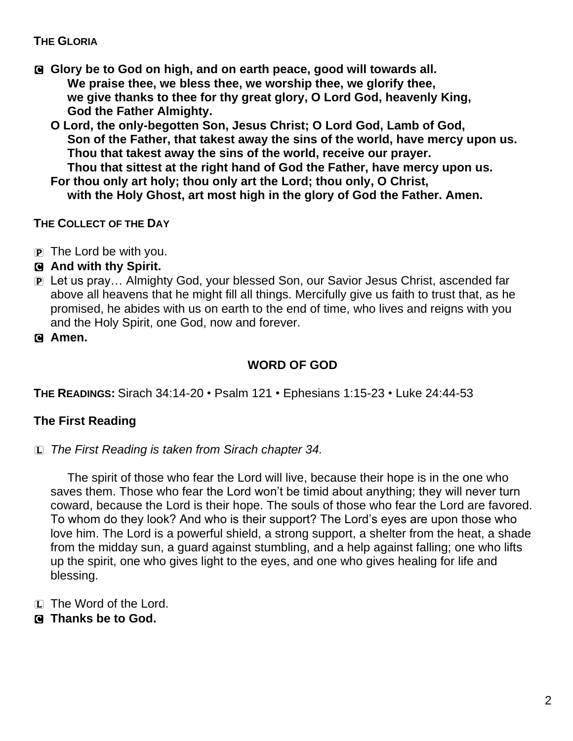#### **THE GLORIA**

- C **Glory be to God on high, and on earth peace, good will towards all. We praise thee, we bless thee, we worship thee, we glorify thee, we give thanks to thee for thy great glory, O Lord God, heavenly King, God the Father Almighty.**
	- **O Lord, the only-begotten Son, Jesus Christ; O Lord God, Lamb of God, Son of the Father, that takest away the sins of the world, have mercy upon us. Thou that takest away the sins of the world, receive our prayer. Thou that sittest at the right hand of God the Father, have mercy upon us.**
	- **For thou only art holy; thou only art the Lord; thou only, O Christ, with the Holy Ghost, art most high in the glory of God the Father. Amen.**

#### **THE COLLECT OF THE DAY**

- $\overline{p}$  The Lord be with you.
- C **And with thy Spirit.**
- P Let us pray… Almighty God, your blessed Son, our Savior Jesus Christ, ascended far above all heavens that he might fill all things. Mercifully give us faith to trust that, as he promised, he abides with us on earth to the end of time, who lives and reigns with you and the Holy Spirit, one God, now and forever.
- C **Amen.**

#### **WORD OF GOD**

**THE READINGS:** Sirach 34:14-20 • Psalm 121 • Ephesians 1:15-23 • Luke 24:44-53

#### **The First Reading**

L *The First Reading is taken from Sirach chapter 34.*

The spirit of those who fear the Lord will live, because their hope is in the one who saves them. Those who fear the Lord won't be timid about anything; they will never turn coward, because the Lord is their hope. The souls of those who fear the Lord are favored. To whom do they look? And who is their support? The Lord's eyes are upon those who love him. The Lord is a powerful shield, a strong support, a shelter from the heat, a shade from the midday sun, a guard against stumbling, and a help against falling; one who lifts up the spirit, one who gives light to the eyes, and one who gives healing for life and blessing.

- L The Word of the Lord.
- C **Thanks be to God.**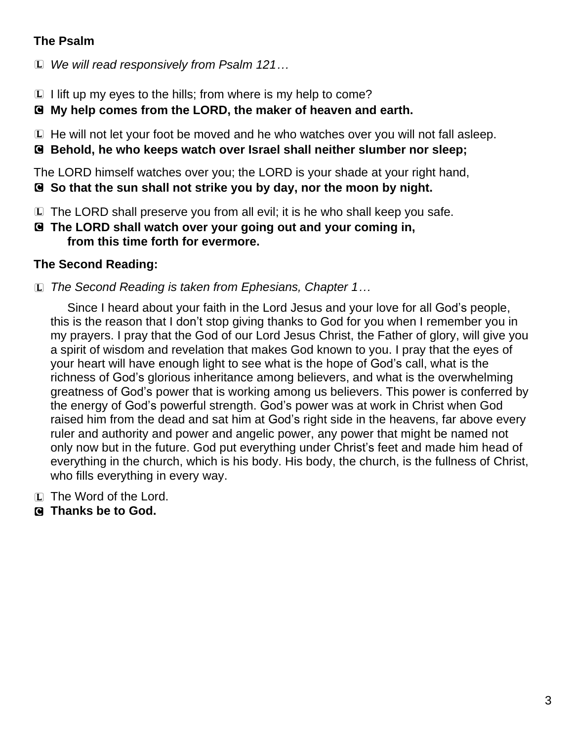## **The Psalm**

L *We will read responsively from Psalm 121…*

 $\mathbb D$  I lift up my eyes to the hills; from where is my help to come?

C **My help comes from the LORD, the maker of heaven and earth.**

L He will not let your foot be moved and he who watches over you will not fall asleep.

C **Behold, he who keeps watch over Israel shall neither slumber nor sleep;**

The LORD himself watches over you; the LORD is your shade at your right hand,

C **So that the sun shall not strike you by day, nor the moon by night.**

- L The LORD shall preserve you from all evil; it is he who shall keep you safe.
- C **The LORD shall watch over your going out and your coming in, from this time forth for evermore.**

## **The Second Reading:**

L *The Second Reading is taken from Ephesians, Chapter 1…*

Since I heard about your faith in the Lord Jesus and your love for all God's people, this is the reason that I don't stop giving thanks to God for you when I remember you in my prayers. I pray that the God of our Lord Jesus Christ, the Father of glory, will give you a spirit of wisdom and revelation that makes God known to you. I pray that the eyes of your heart will have enough light to see what is the hope of God's call, what is the richness of God's glorious inheritance among believers, and what is the overwhelming greatness of God's power that is working among us believers. This power is conferred by the energy of God's powerful strength. God's power was at work in Christ when God raised him from the dead and sat him at God's right side in the heavens, far above every ruler and authority and power and angelic power, any power that might be named not only now but in the future. God put everything under Christ's feet and made him head of everything in the church, which is his body. His body, the church, is the fullness of Christ, who fills everything in every way.

- L The Word of the Lord.
- C **Thanks be to God.**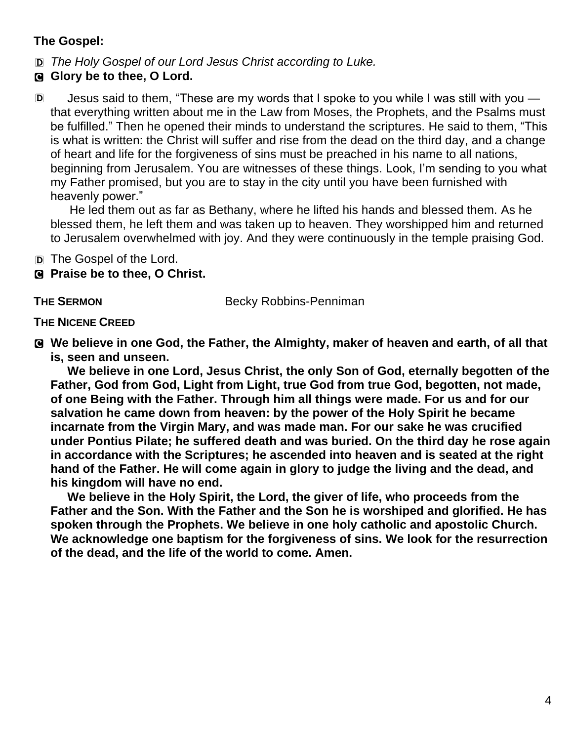#### **The Gospel:**

- D *The Holy Gospel of our Lord Jesus Christ according to Luke.*
- C **Glory be to thee, O Lord.**
- D Jesus said to them, "These are my words that I spoke to you while I was still with you that everything written about me in the Law from Moses, the Prophets, and the Psalms must be fulfilled." Then he opened their minds to understand the scriptures. He said to them, "This is what is written: the Christ will suffer and rise from the dead on the third day, and a change of heart and life for the forgiveness of sins must be preached in his name to all nations, beginning from Jerusalem. You are witnesses of these things. Look, I'm sending to you what my Father promised, but you are to stay in the city until you have been furnished with heavenly power."

He led them out as far as Bethany, where he lifted his hands and blessed them. As he blessed them, he left them and was taken up to heaven. They worshipped him and returned to Jerusalem overwhelmed with joy. And they were continuously in the temple praising God.

D The Gospel of the Lord.

C **Praise be to thee, O Christ.**

**THE SERMON** Becky Robbins-Penniman

#### **THE NICENE CREED**

C **We believe in one God, the Father, the Almighty, maker of heaven and earth, of all that is, seen and unseen.** 

**We believe in one Lord, Jesus Christ, the only Son of God, eternally begotten of the Father, God from God, Light from Light, true God from true God, begotten, not made, of one Being with the Father. Through him all things were made. For us and for our salvation he came down from heaven: by the power of the Holy Spirit he became incarnate from the Virgin Mary, and was made man. For our sake he was crucified under Pontius Pilate; he suffered death and was buried. On the third day he rose again in accordance with the Scriptures; he ascended into heaven and is seated at the right hand of the Father. He will come again in glory to judge the living and the dead, and his kingdom will have no end.**

**We believe in the Holy Spirit, the Lord, the giver of life, who proceeds from the Father and the Son. With the Father and the Son he is worshiped and glorified. He has spoken through the Prophets. We believe in one holy catholic and apostolic Church. We acknowledge one baptism for the forgiveness of sins. We look for the resurrection of the dead, and the life of the world to come. Amen.**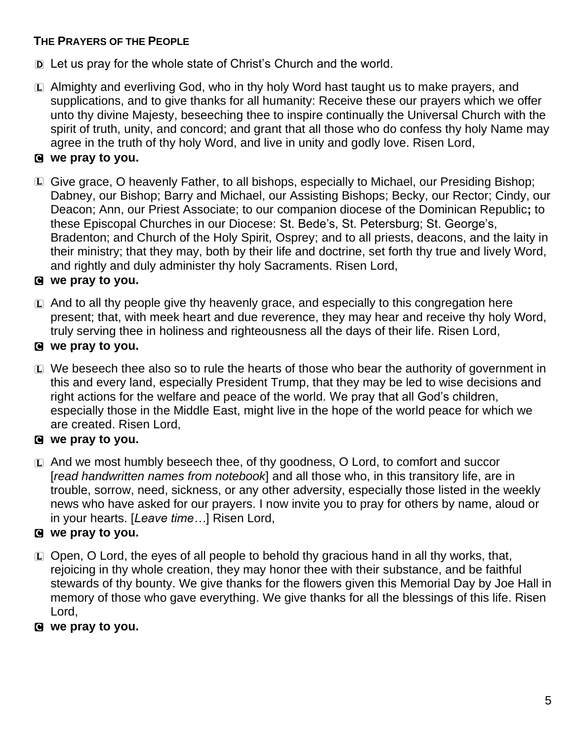#### **THE PRAYERS OF THE PEOPLE**

- D Let us pray for the whole state of Christ's Church and the world.
- L Almighty and everliving God, who in thy holy Word hast taught us to make prayers, and supplications, and to give thanks for all humanity: Receive these our prayers which we offer unto thy divine Majesty, beseeching thee to inspire continually the Universal Church with the spirit of truth, unity, and concord; and grant that all those who do confess thy holy Name may agree in the truth of thy holy Word, and live in unity and godly love. Risen Lord,

## C **we pray to you.**

L Give grace, O heavenly Father, to all bishops, especially to Michael, our Presiding Bishop; Dabney, our Bishop; Barry and Michael, our Assisting Bishops; Becky, our Rector; Cindy, our Deacon; Ann, our Priest Associate; to our companion diocese of the Dominican Republic**;** to these Episcopal Churches in our Diocese: St. Bede's, St. Petersburg; St. George's, Bradenton; and Church of the Holy Spirit, Osprey; and to all priests, deacons, and the laity in their ministry; that they may, both by their life and doctrine, set forth thy true and lively Word, and rightly and duly administer thy holy Sacraments. Risen Lord,

### C **we pray to you.**

L And to all thy people give thy heavenly grace, and especially to this congregation here present; that, with meek heart and due reverence, they may hear and receive thy holy Word, truly serving thee in holiness and righteousness all the days of their life. Risen Lord,

### C **we pray to you.**

 $E$  We beseech thee also so to rule the hearts of those who bear the authority of government in this and every land, especially President Trump, that they may be led to wise decisions and right actions for the welfare and peace of the world. We pray that all God's children, especially those in the Middle East, might live in the hope of the world peace for which we are created. Risen Lord,

## C **we pray to you.**

L And we most humbly beseech thee, of thy goodness, O Lord, to comfort and succor [*read handwritten names from notebook*] and all those who, in this transitory life, are in trouble, sorrow, need, sickness, or any other adversity, especially those listed in the weekly news who have asked for our prayers. I now invite you to pray for others by name, aloud or in your hearts. [*Leave time…*] Risen Lord,

## C **we pray to you.**

- $\Box$  Open, O Lord, the eyes of all people to behold thy gracious hand in all thy works, that, rejoicing in thy whole creation, they may honor thee with their substance, and be faithful stewards of thy bounty. We give thanks for the flowers given this Memorial Day by Joe Hall in memory of those who gave everything. We give thanks for all the blessings of this life. Risen Lord,
- C **we pray to you.**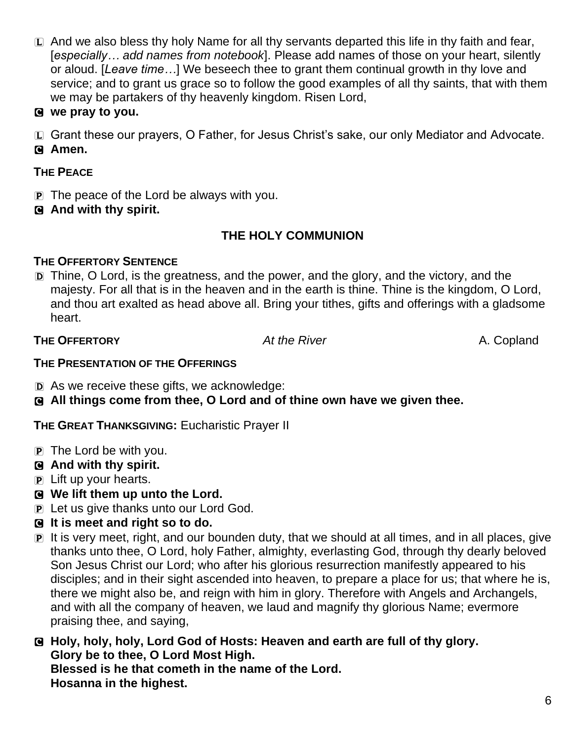- L And we also bless thy holy Name for all thy servants departed this life in thy faith and fear, [*especially… add names from notebook*]. Please add names of those on your heart, silently or aloud. [*Leave time…*] We beseech thee to grant them continual growth in thy love and service; and to grant us grace so to follow the good examples of all thy saints, that with them we may be partakers of thy heavenly kingdom. Risen Lord,
- C **we pray to you.**

L Grant these our prayers, O Father, for Jesus Christ's sake, our only Mediator and Advocate.

C **Amen.**

#### **THE PEACE**

**P** The peace of the Lord be always with you.

#### C **And with thy spirit.**

## **THE HOLY COMMUNION**

#### **THE OFFERTORY SENTENCE**

D Thine, O Lord, is the greatness, and the power, and the glory, and the victory, and the majesty. For all that is in the heaven and in the earth is thine. Thine is the kingdom, O Lord, and thou art exalted as head above all. Bring your tithes, gifts and offerings with a gladsome heart.

**THE OFFERTORY At the River A. Copland** 

#### **THE PRESENTATION OF THE OFFERINGS**

- D As we receive these gifts, we acknowledge:
- C **All things come from thee, O Lord and of thine own have we given thee.**

**THE GREAT THANKSGIVING:** Eucharistic Prayer II

- P The Lord be with you.
- C **And with thy spirit.**
- P Lift up your hearts.
- C **We lift them up unto the Lord.**
- P Let us give thanks unto our Lord God.

#### C **It is meet and right so to do.**

- P It is very meet, right, and our bounden duty, that we should at all times, and in all places, give thanks unto thee, O Lord, holy Father, almighty, everlasting God, through thy dearly beloved Son Jesus Christ our Lord; who after his glorious resurrection manifestly appeared to his disciples; and in their sight ascended into heaven, to prepare a place for us; that where he is, there we might also be, and reign with him in glory. Therefore with Angels and Archangels, and with all the company of heaven, we laud and magnify thy glorious Name; evermore praising thee, and saying,
- C **Holy, holy, holy, Lord God of Hosts: Heaven and earth are full of thy glory. Glory be to thee, O Lord Most High. Blessed is he that cometh in the name of the Lord. Hosanna in the highest.**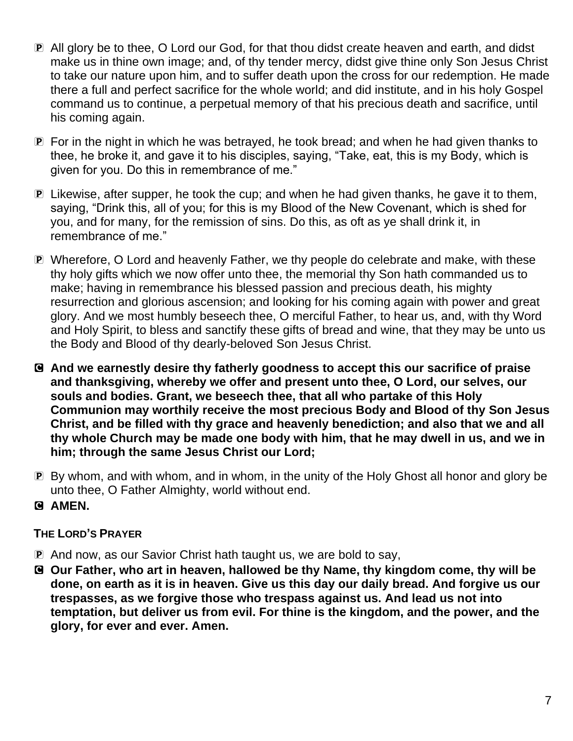- P All glory be to thee, O Lord our God, for that thou didst create heaven and earth, and didst make us in thine own image; and, of thy tender mercy, didst give thine only Son Jesus Christ to take our nature upon him, and to suffer death upon the cross for our redemption. He made there a full and perfect sacrifice for the whole world; and did institute, and in his holy Gospel command us to continue, a perpetual memory of that his precious death and sacrifice, until his coming again.
- P For in the night in which he was betrayed, he took bread; and when he had given thanks to thee, he broke it, and gave it to his disciples, saying, "Take, eat, this is my Body, which is given for you. Do this in remembrance of me."
- P Likewise, after supper, he took the cup; and when he had given thanks, he gave it to them, saying, "Drink this, all of you; for this is my Blood of the New Covenant, which is shed for you, and for many, for the remission of sins. Do this, as oft as ye shall drink it, in remembrance of me."
- P Wherefore, O Lord and heavenly Father, we thy people do celebrate and make, with these thy holy gifts which we now offer unto thee, the memorial thy Son hath commanded us to make; having in remembrance his blessed passion and precious death, his mighty resurrection and glorious ascension; and looking for his coming again with power and great glory. And we most humbly beseech thee, O merciful Father, to hear us, and, with thy Word and Holy Spirit, to bless and sanctify these gifts of bread and wine, that they may be unto us the Body and Blood of thy dearly-beloved Son Jesus Christ.
- C **And we earnestly desire thy fatherly goodness to accept this our sacrifice of praise and thanksgiving, whereby we offer and present unto thee, O Lord, our selves, our souls and bodies. Grant, we beseech thee, that all who partake of this Holy Communion may worthily receive the most precious Body and Blood of thy Son Jesus Christ, and be filled with thy grace and heavenly benediction; and also that we and all thy whole Church may be made one body with him, that he may dwell in us, and we in him; through the same Jesus Christ our Lord;**
- P By whom, and with whom, and in whom, in the unity of the Holy Ghost all honor and glory be unto thee, O Father Almighty, world without end.
- C **AMEN.**

#### **THE LORD'S PRAYER**

- P And now, as our Savior Christ hath taught us, we are bold to say,
- C **Our Father, who art in heaven, hallowed be thy Name, thy kingdom come, thy will be done, on earth as it is in heaven. Give us this day our daily bread. And forgive us our trespasses, as we forgive those who trespass against us. And lead us not into temptation, but deliver us from evil. For thine is the kingdom, and the power, and the glory, for ever and ever. Amen.**